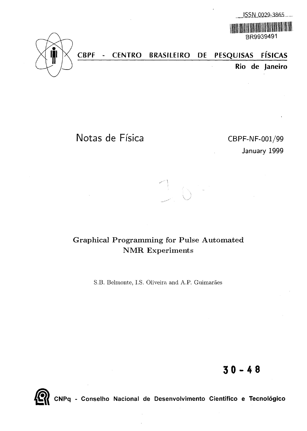

**XSSJi.QQ29=3afi5.\_.** IWIIillli

**BR9939491**

**CBPF - CENTRO BRASILEIRO DE PESQUISAS FISICAS Rio de Janeiro**

# Notas de Física CBPF-NF-001/99

**January 1999**

# Graphical Programming for Pulse Automated NMR Experiments

S.B. Belmonte, I.S. Oliveira and A.P. Guimarães

**30-4 8**

CNPq - Conselho Nacional de Desenvolvimento Científico e Tecnológico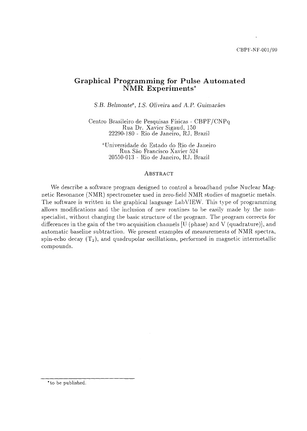#### Graphical Programming for Pulse Automated NMR Experiments\*

*S.B. Belmonte<sup>a</sup> , I.S. Oliveira, and A,P. Guimara.es*

Centro Brasileiro de Pesquisas Fisicas - CBPF/CNPq Rua Dr. Xavier Sigaud, 150 22290-180 - Rio de Janeiro, RJ, Brazil

"Universidade do Estado do Rio de Janeiro Rua Sao Francisco Xavier 524 20550-013 - Rio de Janeiro, RJ. Brazil

#### ABSTRACT

We describe a software program designed to control a broadband pulse Nuclear Magnetic Resonance (NMR) spectrometer used in zero-field NMR studies of magnetic metals. The software is written in the graphical language LabVIEW. This type of programming allows modifications and the inclusion of new routines to be easily made by the nonspecialist, without changing the basic structure of the program. The program corrects for differences in the gain of the two acquisition channels [U (phase) and V (quadrature)], and automatic baseline subtraction. We present examples of measurements of NMR spectra, spin-echo decay  $(T_2)$ , and quadrupolar oscillations, performed in magnetic intermetallic compounds.

<sup>&</sup>quot;to be published.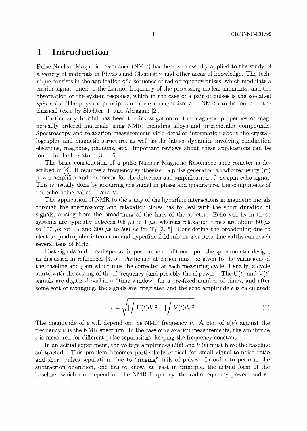### 1 Introduction

Pulse Nuclear Magnetic Resonance (NMR) has been successfully applied to the study of a variety of materials in Physics and Chemistry, and other areas of knowledge. The technique consists in the application of a sequence of radiofrequency pulses, which modulate a carrier signal tuned to the Larmor frequency of the precessing nuclear moments, and the observation of the system response, which in the case of a pair of pulses is the so-called *spin-echo.* The physical principles of nuclear magnetism and NMR can be found in the classical texts by Slichter [1] and Abragam [2].

Particularly fruitful has been the investigation of the magnetic properties of magnetically ordered materials using NMR, including alloys and intermetallic compounds. Spectroscopy and relaxation measurements yield detailed information about the crystallographic and magnetic structure, as well as the lattice dynamics involving conduction electrons, magnons, phonons, etc. Important reviews about these applications can be found in the literature [3, 4, 5].

The basic construction of a pulse Nuclear Magnetic Resonance spectrometer is described in [6]. It requires a frequency synthesizer, a pulse generator, a radiofrequency (rf) power amplifier and the means for the detection and amplification of the spin-echo signal. This is usually done by acquiring the signal in phase and quadrature, the components of the echo being called U and V.

The application of NMR to the study of the hyperfine interactions in magnetic metals through the spectroscopy and relaxation times has to deal with the short duration of signals, arising from the broadening of the lines of the spectra. Echo widths in these systems are typically between 0.5  $\mu$ s to 1  $\mu$ s, whereas relaxation times are about 50  $\mu$ s to 100  $\mu$ s for T<sub>2</sub> and 300  $\mu$ s to 500  $\mu$ s for T<sub>1</sub> [3, 5]. Considering the broadening due to electric quadrupolar interaction and hyperfine field inhomogeneities, linewidths can reach several tens of MHz.

Fast signals and broad spectra impose some conditions upon the spectrometer design, as discussed in references [3, 5]. Particular attention must be given to the variations of the baseline and gain which must be corrected at each measuring cycle. Usually, a cycle starts with the setting of the rf frequency (and possibly the rf power). The  $U(t)$  and  $V(t)$ signals are digitized within a "time window" for a pre-fixed number of times, and after some sort of averaging, the signals are integrated and the echo amplitude  $\epsilon$  is calculated:

$$
\epsilon = \sqrt{\left[\int U(t)dt\right]^2 + \left[\int V(t)dt\right]^2} \tag{1}
$$

The magnitude of  $\epsilon$  will depend on the NMR frequency  $\nu$ . A plot of  $\epsilon(\nu)$  against the frequency  $\nu$  is the NMR spectrum. In the case of relaxation measurements, the amplitude e is measured for different pulse separations, keeping the frequency constant.

In an actual experiment, the voltage amplitudes  $U(t)$  and  $V(t)$  must have the baseline subtracted. This problem becomes particularly critical for small signal-to-noise ratio and short pulses separation, due to "ringing" tails of pulses. In order to perform the subtraction operation, one has to know, at least in principle, the actual form of the baseline, which can depend on the NMR frequency, the radiofrequency power, and so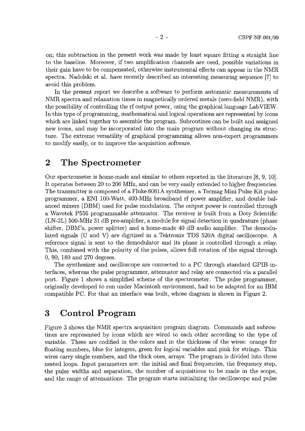on; this subtraction in the present work was made by least square fitting a straight line to the baseline. Moreover, if two amplification channels are used, possible variations in their gain have to be compensated, otherwise instrumental effects can appear in the NMR spectra. Nadolski et al. have recently described an interesting measuring sequence [7] to avoid this problem.

In the present report we describe a software to perform automatic measurements of NMR spectra and relaxation times in magnetically ordered metals (zero-field NMR), with the possibility of controlling the rf output power, using the graphical language Lab VIEW. In this type of programming, mathematical and logical operations are represented by icons which are linked together to assemble the program. Subroutines can be built and assigned new icons, and may be incorporated into the main program without changing its structure. The extreme versatility of graphical programming allows non-expert programmers to modify easily, or to improve the acquisition software.

### 2 The Spectrometer

Our spectrometer is home-made and similar to others reported in the literature [8, 9, 10]. It operates between 20 to 200 MHz, and can be very easily extended to higher frequencies. The transmitter is composed of a Fluke 6061A synthesizer, a Tecmag Mini Pulse Kit pulse programmer, a ENI 100-Watt, 400-MHz broadband rf power amplifier, and double balanced mixers (DBM) used for pulse modulation. The output power is controlled through a Wavetek P556 programmable attenuator. The receiver is built from a Doty Scientific (LN-2L) 500-MHz 31 dB pre-amplifier, a module for signal detection in quadrature (phase shifter, DBM's, power splitter) and a home-made 40 dB audio amplifier. The demodulated signals (U and V) are digitized in a Tektronix TDS 520A digital oscilloscope. A reference signal is sent to the demodulator and its phase is controlled through a relay. This, combined with the polarity of the pulses, allows full rotation of the signal through 0, 90, 180 and 270 degrees.

The synthesizer and oscilloscope are connected to a PC through standard GPIB interfaces, whereas the pulse programmer, attenuator and relay are connected via a parallel port. Figure 1 shows a simplified scheme of the spectrometer. The pulse programmer, originally developed to run under Macintosh environment, had to be adapted for an IBM compatible PC. For that an interface was built, whose diagram is shown in Figure 2.

## 3 Control Program

Figure 3 shows the NMR spectra acquisition program diagram. Commands and subroutines are represented by icons which are wired to each other according to the type of variable. These are codified in the colors and in the thickness of the wires: orange for floating numbers, blue for integers, green for logical variables and pink for strings. Thin wires carry single numbers, and the thick ones, arrays. The program is divided into three nested loops. Input parameters are: the initial and final frequencies, the frequency step, the pulse widths and separation, the number of acquisitions to be made in the scope, and the range of attenuations. The program starts initializing the oscilloscope and pulse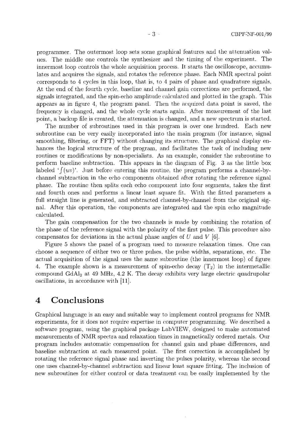programmer. The outermost loop sets some graphical features and the attenuation values. The middle one controls the synthesizer and the timing of the experiment. The innermost loop controls the whole acquisition process. It starts the oscilloscope, accumulates and acquires the signals, and rotates the reference phase. Each NMR spectral point corresponds to 4 cycles in this loop, that is, to 4 pairs of phase and quadrature signals. At the end of the fourth cycle, baseline and channel gain corrections are performed, the signals integrated, and the spin-echo amplitude calculated and plotted in the graph. This appears as in figure 4, the program panel. Then the acquired data point is saved, the frequency is changed, and the whole cycle starts again. After measurement of the last point, a backup file is created, the attenuation is changed, and a new spectrum is started.

The number of subroutines used in this program is over one hundred. Each new subroutine can be very easily incorporated into the main program (for instance, signal smoothing, filtering, or FFT) without changing its structure. The graphical display enhances the logical structure of the program, and facilitates the task of including new routines or modifications by non-specialists. As an example, consider the subroutine to perform baseline subtraction. This appears in the diagram of Fig. 3 as the little box labeled ' $\int (uv)$ '. Just before entering this routine, the program performs a channel-bychannel subtraction in the echo components obtained after rotating the reference signal phase. The routine then splits each echo component into four segments, takes the first and fourth ones and performs a linear least square fit. With the fitted parameters a full straight line is generated, and subtracted channel-by-channel from the original signal. After this operation, the components are integrated and the spin echo magnitude calculated.

The gain compensation for the two channels is made by combining the rotation of the phase of the reference signal with the polarity of the first pulse. This procedure also compensates for deviations in the actual phase angles of *U* and *V* [6].

Figure 5 shows the panel of a program used to measure relaxation times. One can choose a sequence of either two or three pulses, the pulse widths, separations, etc. The actual acquisition of the signal uses the same subroutine (the innermost loop) of figure 4. The example shown is a measurement of spin-echo decay  $(T_2)$  in the intermetallic compound GdAl2 at 49 MHz, 4.2 K. The decay exhibits very large electric quadrupolar oscillations, in accordance with [11].

### 4 Conclusions

Graphical language is an easy and suitable way to implement control programs for NMR experiments, for it does not require expertise in computer programming. We described a software program, using the graphical package Lab VIEW, designed to make automated measurements of NMR spectra and relaxation times in magnetically ordered metals. Our program includes automatic compensation for channel gain and phase differences, and baseline subtraction at each measured point. The first correction is accomplished by rotating the reference signal phase and inverting the pulses polarity, whereas the second one uses channel-by-channel subtraction and linear least square fitting. The inclusion of new subroutines for either control or data treatment can be easily implemented by the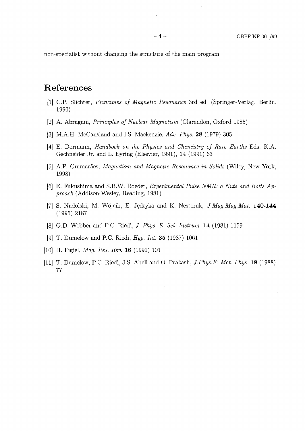non-specialist without changing the structure of the main program.

# References

- [1] C.P. Slichter, *Principles of Magnetic Resonance* 3rd ed. (Springer-Verlag, Berlin, 1990)
- [2] A. Abragam, *Principles of Nuclear Magnetism* (Clarendon, Oxford 1985)
- [3] M.A.H. McCausland and I.S. Mackenzie, *Adv. Phys.* 28 (1979) 305
- [4] E. Dormann, *Handbook on the Physics and Chemistry of Rare Earths* Eds. K.A. Gschneider Jr. and L. Eyring (Elsevier, 1991), **14** (1991) 63
- [5] A.P. Guimarães, *Magnetism and Magnetic Resonance in Solids* (Wiley, New York, 1998)
- [6] E. Fukushima and S.B.W. Roeder, *Experimental Pulse NMR: a Nuts and Bolts Approach* (Addison-Wesley, Reading, 1981)
- [7] S. Nadolski, M. Wojcik, E. J§dryka and K. Nesteruk, *J.Mag.Mag.Mat.* **140-144** (1995) 2187
- [8] G.D. Webber and P.C. Riedi, *J. Phys. E: Sci. Instrum.* **14** (1981) 1159
- [9] T. Dumelow and P.C. Riedi, *Hyp. Int.* 35 (1987) 1061
- [10] H. Figiel, *Mag. Res. Rev.* 16 (1991) 101
- [11] T. Dumelow, P.C. Riedi, J.S. Abell and O. Prakash, *J.Phys.F: Met. Phys.* 18 (1988) **77**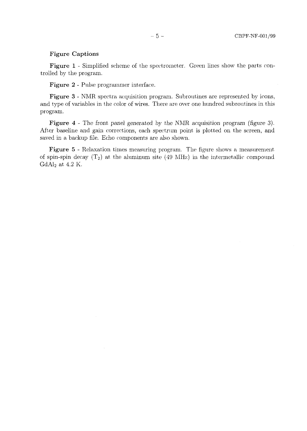#### **Figure Captions**

**Figure 1** - Simplified scheme of the spectrometer. Green lines show the parts controlled by the program.

**Figure 2** - Pulse programmer interface.

**Figure 3** - NMR spectra acquisition program. Subroutines are represented by icons, and type of variables in the color of wires. There are over one hundred subroutines in this program.

**Figure 4** - The front panel generated by the NMR acquisition program (figure 3). After baseline and gain corrections, each spectrum point is plotted on the screen, and saved in a backup file. Echo components are also shown.

**Figure 5** - Relaxation times measuring program. The figure shows a measurement of spin-spin decay  $(T_2)$  at the aluminum site (49 MHz) in the intermetallic compound  $GdAl<sub>2</sub>$  at 4.2 K.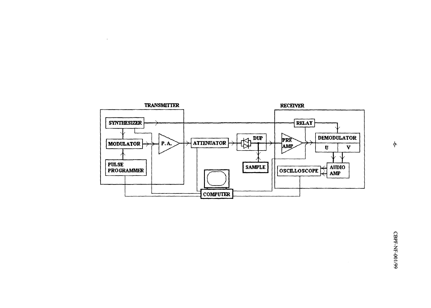

 $\sim$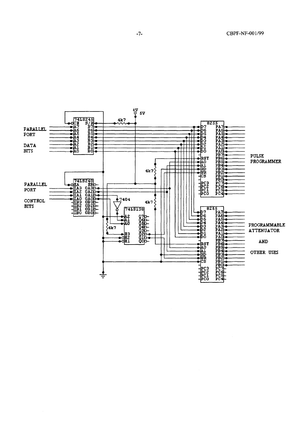

**-7-** CBPF-NF-001/99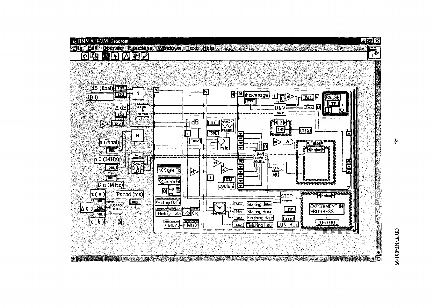

နှ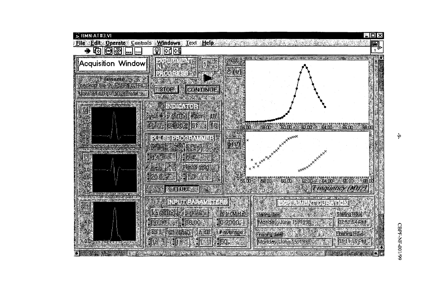

 $\dot{\varphi}$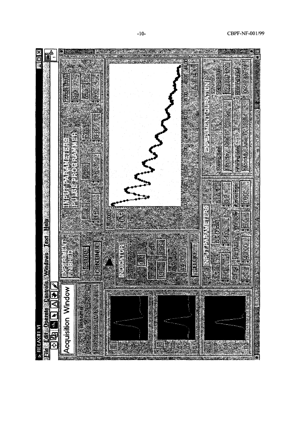